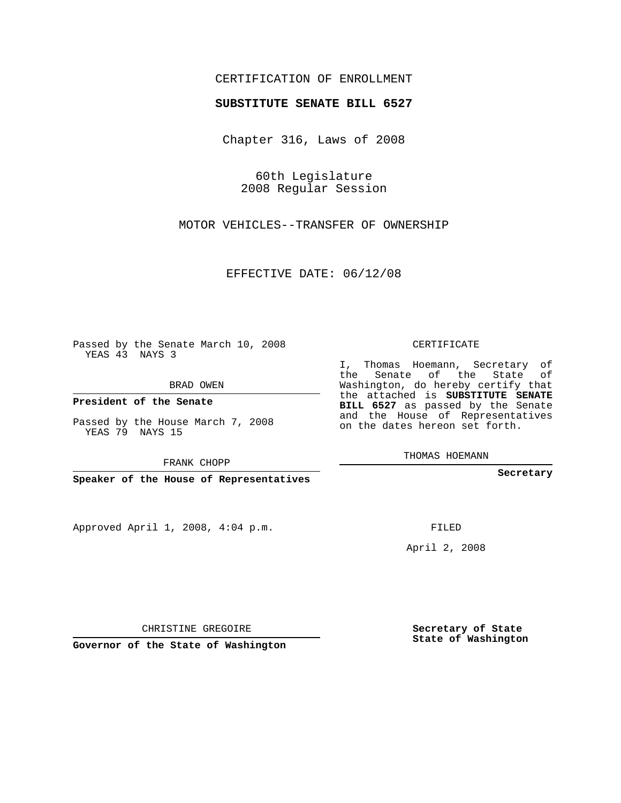## CERTIFICATION OF ENROLLMENT

## **SUBSTITUTE SENATE BILL 6527**

Chapter 316, Laws of 2008

60th Legislature 2008 Regular Session

MOTOR VEHICLES--TRANSFER OF OWNERSHIP

EFFECTIVE DATE: 06/12/08

Passed by the Senate March 10, 2008 YEAS 43 NAYS 3

BRAD OWEN

**President of the Senate**

Passed by the House March 7, 2008 YEAS 79 NAYS 15

FRANK CHOPP

**Speaker of the House of Representatives**

Approved April 1, 2008, 4:04 p.m.

CERTIFICATE

I, Thomas Hoemann, Secretary of the Senate of the State of Washington, do hereby certify that the attached is **SUBSTITUTE SENATE BILL 6527** as passed by the Senate and the House of Representatives on the dates hereon set forth.

THOMAS HOEMANN

**Secretary**

FILED

April 2, 2008

CHRISTINE GREGOIRE

**Governor of the State of Washington**

**Secretary of State State of Washington**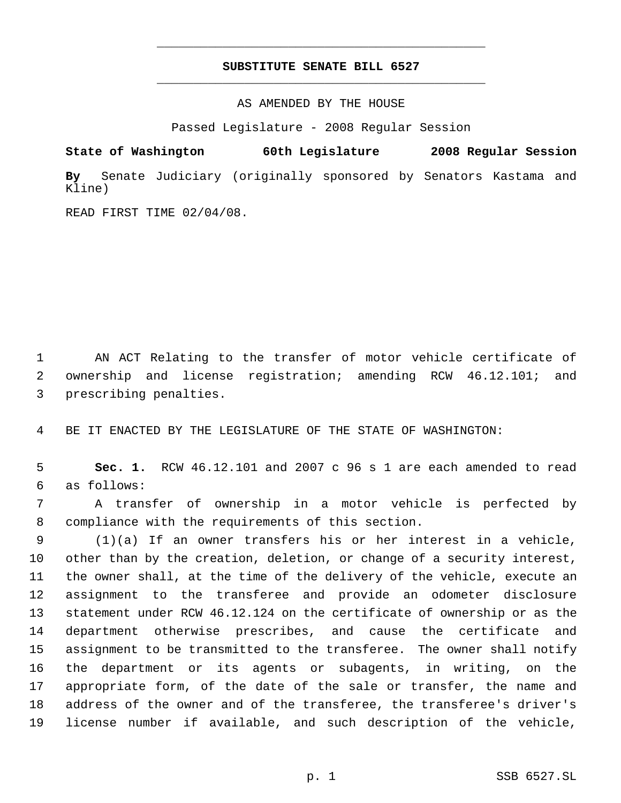## **SUBSTITUTE SENATE BILL 6527** \_\_\_\_\_\_\_\_\_\_\_\_\_\_\_\_\_\_\_\_\_\_\_\_\_\_\_\_\_\_\_\_\_\_\_\_\_\_\_\_\_\_\_\_\_

\_\_\_\_\_\_\_\_\_\_\_\_\_\_\_\_\_\_\_\_\_\_\_\_\_\_\_\_\_\_\_\_\_\_\_\_\_\_\_\_\_\_\_\_\_

AS AMENDED BY THE HOUSE

Passed Legislature - 2008 Regular Session

**State of Washington 60th Legislature 2008 Regular Session By** Senate Judiciary (originally sponsored by Senators Kastama and Kline)

READ FIRST TIME 02/04/08.

 AN ACT Relating to the transfer of motor vehicle certificate of ownership and license registration; amending RCW 46.12.101; and prescribing penalties.

BE IT ENACTED BY THE LEGISLATURE OF THE STATE OF WASHINGTON:

 **Sec. 1.** RCW 46.12.101 and 2007 c 96 s 1 are each amended to read as follows:

 A transfer of ownership in a motor vehicle is perfected by compliance with the requirements of this section.

 (1)(a) If an owner transfers his or her interest in a vehicle, other than by the creation, deletion, or change of a security interest, the owner shall, at the time of the delivery of the vehicle, execute an assignment to the transferee and provide an odometer disclosure statement under RCW 46.12.124 on the certificate of ownership or as the department otherwise prescribes, and cause the certificate and assignment to be transmitted to the transferee. The owner shall notify the department or its agents or subagents, in writing, on the appropriate form, of the date of the sale or transfer, the name and address of the owner and of the transferee, the transferee's driver's license number if available, and such description of the vehicle,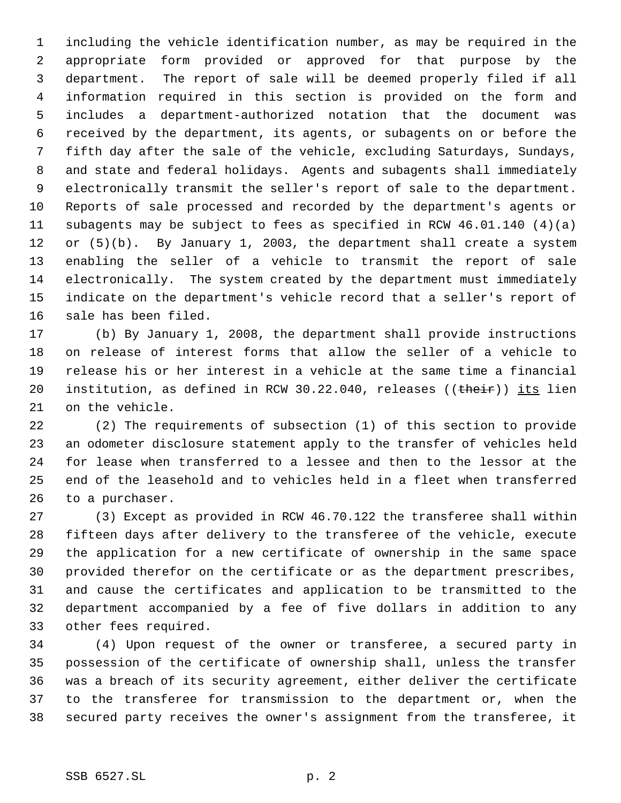including the vehicle identification number, as may be required in the appropriate form provided or approved for that purpose by the department. The report of sale will be deemed properly filed if all information required in this section is provided on the form and includes a department-authorized notation that the document was received by the department, its agents, or subagents on or before the fifth day after the sale of the vehicle, excluding Saturdays, Sundays, and state and federal holidays. Agents and subagents shall immediately electronically transmit the seller's report of sale to the department. Reports of sale processed and recorded by the department's agents or subagents may be subject to fees as specified in RCW 46.01.140 (4)(a) or (5)(b). By January 1, 2003, the department shall create a system enabling the seller of a vehicle to transmit the report of sale electronically. The system created by the department must immediately indicate on the department's vehicle record that a seller's report of sale has been filed.

 (b) By January 1, 2008, the department shall provide instructions on release of interest forms that allow the seller of a vehicle to release his or her interest in a vehicle at the same time a financial 20 institution, as defined in RCW 30.22.040, releases ((their)) its lien on the vehicle.

 (2) The requirements of subsection (1) of this section to provide an odometer disclosure statement apply to the transfer of vehicles held for lease when transferred to a lessee and then to the lessor at the end of the leasehold and to vehicles held in a fleet when transferred to a purchaser.

 (3) Except as provided in RCW 46.70.122 the transferee shall within fifteen days after delivery to the transferee of the vehicle, execute the application for a new certificate of ownership in the same space provided therefor on the certificate or as the department prescribes, and cause the certificates and application to be transmitted to the department accompanied by a fee of five dollars in addition to any other fees required.

 (4) Upon request of the owner or transferee, a secured party in possession of the certificate of ownership shall, unless the transfer was a breach of its security agreement, either deliver the certificate to the transferee for transmission to the department or, when the secured party receives the owner's assignment from the transferee, it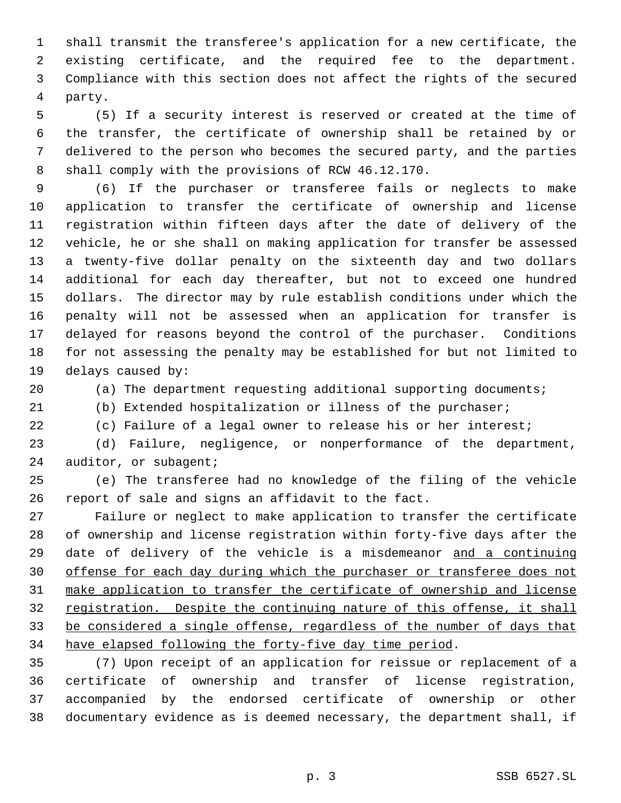shall transmit the transferee's application for a new certificate, the existing certificate, and the required fee to the department. Compliance with this section does not affect the rights of the secured party.

 (5) If a security interest is reserved or created at the time of the transfer, the certificate of ownership shall be retained by or delivered to the person who becomes the secured party, and the parties shall comply with the provisions of RCW 46.12.170.

 (6) If the purchaser or transferee fails or neglects to make application to transfer the certificate of ownership and license registration within fifteen days after the date of delivery of the vehicle, he or she shall on making application for transfer be assessed a twenty-five dollar penalty on the sixteenth day and two dollars additional for each day thereafter, but not to exceed one hundred dollars. The director may by rule establish conditions under which the penalty will not be assessed when an application for transfer is delayed for reasons beyond the control of the purchaser. Conditions for not assessing the penalty may be established for but not limited to delays caused by:

(a) The department requesting additional supporting documents;

(b) Extended hospitalization or illness of the purchaser;

(c) Failure of a legal owner to release his or her interest;

 (d) Failure, negligence, or nonperformance of the department, 24 auditor, or subagent;

 (e) The transferee had no knowledge of the filing of the vehicle report of sale and signs an affidavit to the fact.

 Failure or neglect to make application to transfer the certificate of ownership and license registration within forty-five days after the 29 date of delivery of the vehicle is a misdemeanor and a continuing offense for each day during which the purchaser or transferee does not make application to transfer the certificate of ownership and license 32 registration. Despite the continuing nature of this offense, it shall be considered a single offense, regardless of the number of days that have elapsed following the forty-five day time period.

 (7) Upon receipt of an application for reissue or replacement of a certificate of ownership and transfer of license registration, accompanied by the endorsed certificate of ownership or other documentary evidence as is deemed necessary, the department shall, if